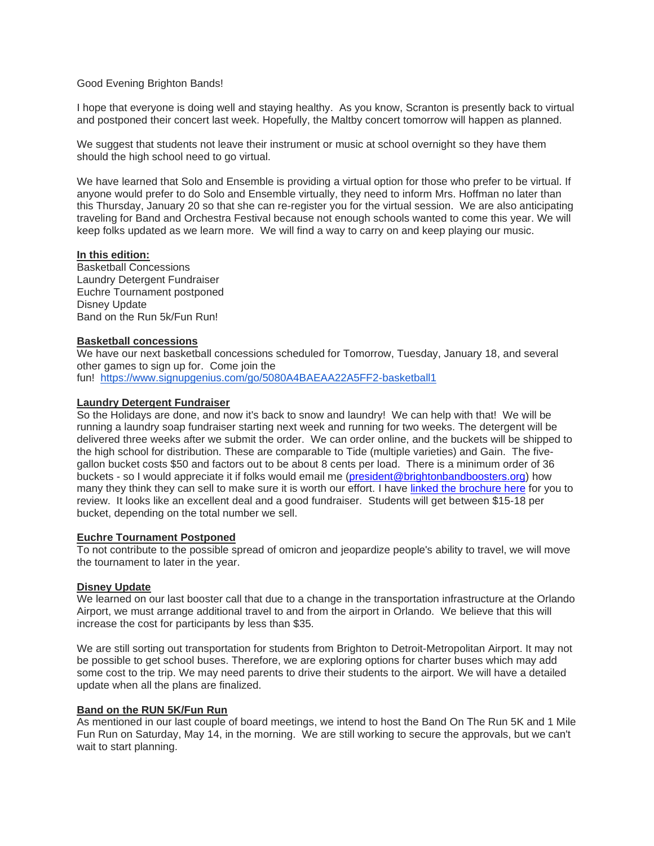## Good Evening Brighton Bands!

I hope that everyone is doing well and staying healthy. As you know, Scranton is presently back to virtual and postponed their concert last week. Hopefully, the Maltby concert tomorrow will happen as planned.

We suggest that students not leave their instrument or music at school overnight so they have them should the high school need to go virtual.

We have learned that Solo and Ensemble is providing a virtual option for those who prefer to be virtual. If anyone would prefer to do Solo and Ensemble virtually, they need to inform Mrs. Hoffman no later than this Thursday, January 20 so that she can re-register you for the virtual session. We are also anticipating traveling for Band and Orchestra Festival because not enough schools wanted to come this year. We will keep folks updated as we learn more. We will find a way to carry on and keep playing our music.

# **In this edition:**

Basketball Concessions Laundry Detergent Fundraiser Euchre Tournament postponed Disney Update Band on the Run 5k/Fun Run!

## **Basketball concessions**

We have our next basketball concessions scheduled for Tomorrow, Tuesday, January 18, and several other games to sign up for. Come join the

fun! <https://www.signupgenius.com/go/5080A4BAEAA22A5FF2-basketball1>

## **Laundry Detergent Fundraiser**

So the Holidays are done, and now it's back to snow and laundry! We can help with that! We will be running a laundry soap fundraiser starting next week and running for two weeks. The detergent will be delivered three weeks after we submit the order. We can order online, and the buckets will be shipped to the high school for distribution. These are comparable to Tide (multiple varieties) and Gain. The fivegallon bucket costs \$50 and factors out to be about 8 cents per load. There is a minimum order of 36 buckets - so I would appreciate it if folks would email me [\(president@brightonbandboosters.org\)](president@brightonbandboosters.org) how many they think they can sell to make sure it is worth our effort. I have linked [the brochure here](https://c03bda90-4399-4b42-8105-a0587557a671.filesusr.com/ugd/8ce1b1_108145271915498a9bf598fe96717705.pdf) for you to review. It looks like an excellent deal and a good fundraiser. Students will get between \$15-18 per bucket, depending on the total number we sell.

#### **Euchre Tournament Postponed**

To not contribute to the possible spread of omicron and jeopardize people's ability to travel, we will move the tournament to later in the year.

#### **Disney Update**

We learned on our last booster call that due to a change in the transportation infrastructure at the Orlando Airport, we must arrange additional travel to and from the airport in Orlando. We believe that this will increase the cost for participants by less than \$35.

We are still sorting out transportation for students from Brighton to Detroit-Metropolitan Airport. It may not be possible to get school buses. Therefore, we are exploring options for charter buses which may add some cost to the trip. We may need parents to drive their students to the airport. We will have a detailed update when all the plans are finalized.

#### **Band on the RUN 5K/Fun Run**

As mentioned in our last couple of board meetings, we intend to host the Band On The Run 5K and 1 Mile Fun Run on Saturday, May 14, in the morning. We are still working to secure the approvals, but we can't wait to start planning.